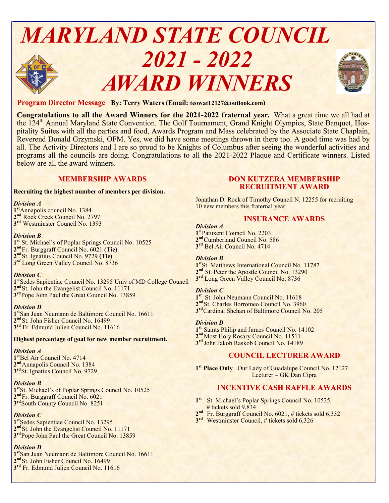# *MARYLAND STATE COUNCIL 2021 - 2022 AWARD WINNERS*



# **Program Director Message By: Terry Waters (Email: teowat12127@outlook.com)**

**Congratulations to all the Award Winners for the 2021-2022 fraternal year.** What a great time we all had at the 124<sup>th</sup> Annual Maryland State Convention. The Golf Tournament, Grand Knight Olympics, State Banquet, Hospitality Suites with all the parties and food, Awards Program and Mass celebrated by the Associate State Chaplain, Reverend Donald Grzymski, OFM. Yes, we did have some meetings thrown in there too. A good time was had by all. The Activity Directors and I are so proud to be Knights of Columbus after seeing the wonderful activities and programs all the councils are doing. Congratulations to all the 2021-2022 Plaque and Certificate winners. Listed below are all the award winners.

# **MEMBERSHIP AWARDS**

#### **Recruiting the highest number of members per division.**

#### *Division A*

**1 st**Annapolis council No. 1384 2<sup>nd</sup> Rock Creek Council No. 2797 **3 rd** Westminster Council No. 1393

#### *Division B*

1<sup>st</sup> St. Michael's of Poplar Springs Council No. 10525 **nd**Fr. Burggraff Council No. 6021 **(Tie) nd**St. Ignatius Council No. 9729 **(Tie)** *rd* Long Green Valley Council No. 8736

#### *Division C*

**1 st**Sedes Sapientiae Council No. 13295 Univ of MD College Council 2<sup>nd</sup> St. John the Evangelist Council No. 11171 3<sup>rd</sup>Pope John Paul the Great Council No. 13859

#### *Division D*

**1 st**San Juan Neumann de Baltimore Council No. 16611 2<sup>nd</sup> St. John Fisher Council No. 16499 **3 rd** Fr. Edmund Julien Council No. 11616

**Highest percentage of goal for new member recruitment.**

#### *Division A*

**1 st**Bel Air Council No. 4714 2<sup>nd</sup> Annapolis Council No. 1384 **3 rd**St. Ignatius Council No. 9729

# *Division B*

1<sup>st</sup>St. Michael's of Poplar Springs Council No. 10525 **2 nd**Fr. Burggraff Council No. 6021 **3 rd**South County Council No. 8251

# *Division C*

**1 st**Sedes Sapientiae Council No. 13295 2<sup>nd</sup> St. John the Evangelist Council No. 11171 3<sup>rd</sup>Pope John Paul the Great Council No. 13859

#### *Division D*

**1 st**San Juan Neumann de Baltimore Council No. 16611 2<sup>nd</sup> St. John Fisher Council No. 16499 **3 rd** Fr. Edmund Julien Council No. 11616

# **DON KUTZERA MEMBERSHIP RECRUITMENT AWARD**

Jonathan D. Rock of Timothy Council N. 12255 for recruiting 10 new members this fraternal year

# **INSURANCE AWARDS**

*Division A* **1 st**Patuxent Council No. 2203 2<sup>nd</sup> Cumberland Council No. 586 **3 rd** Bel Air Council No. 4714

## *Division B*

**1 st**St. Matthews International Council No. 11787 2<sup>nd</sup> St. Peter the Apostle Council No. 13290 **3 rd** Long Green Valley Council No. 8736

#### *Division C*

1<sup>st</sup> St. John Neumann Council No. 11618 2<sup>nd</sup> St. Charles Borromeo Council No. 3960 **3 rd**Cardinal Shehan of Baltimore Council No. 205

#### *Division D*

1<sup>st</sup> Saints Philip and James Council No. 14102 2<sup>nd</sup> Most Holy Rosary Council No. 11511 **3 rd** John Jakob Raskob Council No. 14189

# **COUNCIL LECTURER AWARD**

**1 st Place Only** Our Lady of Guadalupe Council No. 12127 Lecturer – GK Dan Cipra

# **INCENTIVE CASH RAFFLE AWARDS**

- 1<sup>st</sup> St. Michael's Poplar Springs Council No. 10525, # tickets sold 9,834
- 2<sup>nd</sup> Fr. Burggraff Council No. 6021, # tickets sold 6,332
- 3<sup>rd</sup> Westminster Council, # tickets sold 6,326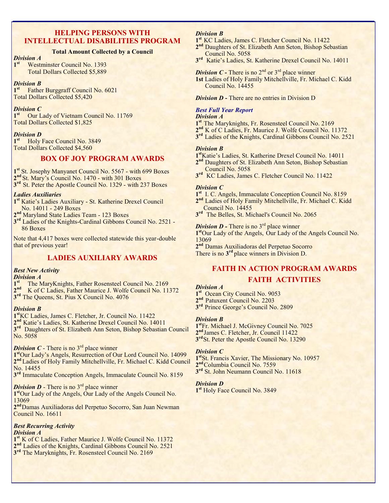# **HELPING PERSONS WITH INTELLECTUAL DISABILITIES PROGRAM**

# **Total Amount Collected by a Council**

#### *Division A*

**1 st** Westminster Council No. 1393 Total Dollars Collected \$5,889

#### *Division B*

1<sup>st</sup> Father Burggraff Council No. 6021 Total Dollars Collected \$5,420

#### *Division C*

1<sup>st</sup> Our Lady of Vietnam Council No. 11769 Total Dollars Collected \$1,825

#### *Division D*

1<sup>st</sup> Holy Face Council No. 3849 Total Dollars Collected \$4,560

# **BOX OF JOY PROGRAM AWARDS**

**1 st** St. Josephy Manyanet Council No. 5567 - with 699 Boxes **2 nd** St. Mary's Council No. 1470 - with 301 Boxes

**3 rd** St. Peter the Apostle Council No. 1329 - with 237 Boxes

#### *Ladies Auxiliaries*

- **1 st** Katie's Ladies Auxiliary St. Katherine Drexel Council No. 14011 - 249 Boxes
- **2 nd** Maryland State Ladies Team 123 Boxes
- 3<sup>rd</sup> Ladies of the Knights-Cardinal Gibbons Council No. 2521 -86 Boxes

Note that 4,417 boxes were collected statewide this year-double that of previous year!

# **LADIES AUXILIARY AWARDS**

#### *Best New Activity*

#### *Division A*

1<sup>st</sup> The MaryKnights, Father Rosensteel Council No. 2169 2<sup>nd</sup> K of C Ladies, Father Maurice J. Wolfe Council No. 11372 **3 rd** The Queens, St. Pius X Council No. 4076

#### *Division B*

**1 st**KC Ladies, James C. Fletcher, Jr. Council No. 11422 **2 nd** Katie's Ladies, St. Katherine Drexel Council No. 14011 3<sup>rd</sup> Daughters of St. Elizabeth Ann Seton, Bishop Sebastian Council No. 5058

*Division C* - There is no 3<sup>rd</sup> place winner

**1 st**Our Lady's Angels, Resurrection of Our Lord Council No. 14099 2<sup>nd</sup> Ladies of Holy Family Mitchellville, Fr. Michael C. Kidd Council No. 14455

**3 rd** Immaculate Conception Angels, Immaculate Council No. 8159

#### *Division D* - There is no 3<sup>rd</sup> place winner

1<sup>st</sup>Our Lady of the Angels, Our Lady of the Angels Council No. 13069

**2 nd**Damas Auxiliadoras del Perpetuo Socorro, San Juan Newman Council No. 16611

# *Best Recurring Activity*

*Division A*

- **1 st** K of C Ladies, Father Maurice J. Wolfe Council No. 11372
- 2<sup>nd</sup> Ladies of the Knights, Cardinal Gibbons Council No. 2521
- **3 rd** The Maryknights, Fr. Rosensteel Council No. 2169

# *Division B*

**1 st** KC Ladies, James C. Fletcher Council No. 11422

- 2<sup>nd</sup> Daughters of St. Elizabeth Ann Seton, Bishop Sebastian Council No. 5058
- **3 rd** Katie's Ladies, St. Katherine Drexel Council No. 14011

**Division C -** There is no  $2^{nd}$  or  $3^{rd}$  place winner

**1st** Ladies of Holy Family Mitchellville, Fr. Michael C. Kidd Council No. 14455

*Division D* **-** There are no entries in Division D

#### *Best Full Year Report*

# *Division A*

**1 st** The Maryknights, Fr. Rosensteel Council No. 2169 2<sup>nd</sup> K of C Ladies, Fr. Maurice J. Wolfe Council No. 11372 **3 rd** Ladies of the Knights, Cardinal Gibbons Council No. 2521

#### *Division B*

**1 st**Katie's Ladies, St. Katherine Drexel Council No. 14011 2<sup>nd</sup> Daughters of St. Elizabeth Ann Seton, Bishop Sebastian Council No. 5058

**3 rd** KC Ladies, James C. Fletcher Council No. 11422

#### *Division C*

**1 st** I. C. Angels, Immaculate Conception Council No. 8159

- 2<sup>nd</sup> Ladies of Holy Family Mitchellville, Fr. Michael C. Kidd Council No. 14455
- 3<sup>rd</sup> The Belles, St. Michael's Council No. 2065

*Division D -* There is no 3<sup>rd</sup> place winner

**1 st**Our Lady of the Angels, Our Lady of the Angels Council No. 13069

**2 nd** Damas Auxiliadoras del Perpetuo Socorro

There is no **3 rd** place winners in Division D.

# **FAITH IN ACTION PROGRAM AWARDS**

# **FAITH ACTIVITIES**

#### *Division A*

1<sup>st</sup> Ocean City Council No. 9053 **2 nd** Patuxent Council No. 2203 **3 rd** Prince George's Council No. 2809

#### *Division B*

**1 st**Fr. Michael J. McGivney Council No. 7025 **2 nd**James C. Fletcher, Jr. Council 11422 3<sup>rd</sup>St. Peter the Apostle Council No. 13290

#### *Division C*

1<sup>st</sup>St. Francis Xavier, The Missionary No. 10957 2<sup>nd</sup> Columbia Council No. 7559 **3 rd** St. John Neumann Council No. 11618

#### *Division D*

**1 st** Holy Face Council No. 3849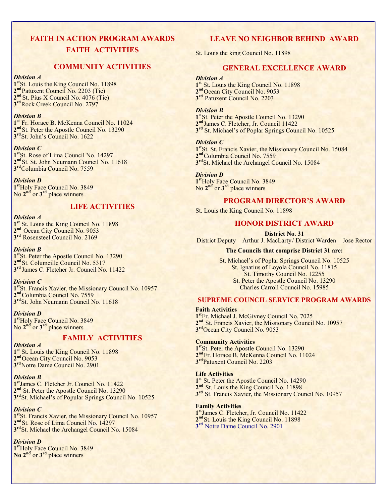# **FAITH IN ACTION PROGRAM AWARDS FAITH ACTIVITIES**

# **COMMUNITY ACTIVITIES**

#### *Division A*

1<sup>st</sup>St. Louis the King Council No. 11898 2<sup>nd</sup> Patuxent Council No. 2203 (Tie) **2 nd** St. Pius X Council No. 4076 (Tie) **3 rd**Rock Creek Council No. 2797

#### *Division B*

**1 st** Fr. Horace B. McKenna Council No. 11024 2<sup>nd</sup>St. Peter the Apostle Council No. 13290 **3 rd**St. John's Council No. 1622

#### *Division C*

**1 st**St. Rose of Lima Council No. 14297 **2 nd**St. St. John Neumann Council No. 11618 **3 rd**Columbia Council No. 7559

*Division D* **1 st**Holy Face Council No. 3849 No **2 nd** or **3 rd** place winners

# **LIFE ACTIVITIES**

#### *Division A*

1<sup>st</sup> St. Louis the King Council No. 11898 2<sup>nd</sup> Ocean City Council No. 9053 **3 rd** Rosensteel Council No. 2169

#### *Division B*

1<sup>st</sup>St. Peter the Apostle Council No. 13290 **2 nd**St. Columcille Council No. 5317 **3 rd** James C. Fletcher Jr. Council No. 11422

#### *Division C*

**1 st**St. Francis Xavier, the Missionary Council No. 10957 2<sup>nd</sup>Columbia Council No. 7559 **3 rd**St. John Neumann Council No. 11618

#### *Division D*

**1 st**Holy Face Council No. 3849 No **2 nd** or **3 rd** place winners

# **FAMILY ACTIVITIES**

*Division A*

1<sup>st</sup> St. Louis the King Council No. 11898 2<sup>nd</sup>Ocean City Council No. 9053 **3 rd**Notre Dame Council No. 2901

# *Division B*

**1 st**James C. Fletcher Jr. Council No. 11422 2<sup>nd</sup> St. Peter the Apostle Council No. 13290 3<sup>rd</sup> St. Michael's of Popular Springs Council No. 10525

# *Division C*

**1 st**St. Francis Xavier, the Missionary Council No. 10957 2<sup>nd</sup> St. Rose of Lima Council No. 14297 **3 rd**St. Michael the Archangel Council No. 15084

# *Division D*

**1 st**Holy Face Council No. 3849 **No 2nd** or **3 rd** place winners

# **LEAVE NO NEIGHBOR BEHIND AWARD**

St. Louis the king Council No. 11898

# **GENERAL EXCELLENCE AWARD**

#### *Division A*

1<sup>st</sup> St. Louis the King Council No. 11898 2<sup>nd</sup> Ocean City Council No. 9053 **3 rd** Patuxent Council No. 2203

#### *Division B*

1<sup>st</sup>St. Peter the Apostle Council No. 13290 **2 nd**James C. Fletcher, Jr. Council 11422 3<sup>rd</sup> St. Michael's of Poplar Springs Council No. 10525

#### *Division C*

1<sup>st</sup>St. St. Francis Xavier, the Missionary Council No. 15084 2<sup>nd</sup>Columbia Council No. 7559 3<sup>rd</sup>St. Michael the Archangel Council No. 15084

#### *Division D*

**1 st**Holy Face Council No. 3849 No 2<sup>nd</sup> or 3<sup>rd</sup> place winners

# **PROGRAM DIRECTOR'S AWARD**

St. Louis the King Council No. 11898

# **HONOR DISTRICT AWARD**

**District No. 31**

District Deputy – Arthur J. MacLarty/ District Warden – Jose Rector

## **The Councils that comprise District 31 are:**

St. Michael's of Poplar Springs Council No. 10525 St. Ignatius of Loyola Council No. 11815 St. Timothy Council No. 12255 St. Peter the Apostle Council No. 13290 Charles Carroll Council No. 15985

# **SUPREME COUNCIL SERVICE PROGRAM AWARDS**

#### **Faith Activities**

**1 st**Fr. Michael J. McGivney Council No. 7025 2<sup>nd</sup> St. Francis Xavier, the Missionary Council No. 10957 **3 rd**Ocean City Council No. 9053

#### **Community Activities**

1<sup>st</sup>St. Peter the Apostle Council No. 13290 **2 nd**Fr. Horace B. McKenna Council No. 11024 **3 rd**Patuxent Council No. 2203

#### **Life Activities**

1<sup>st</sup> St. Peter the Apostle Council No. 14290 2<sup>nd</sup> St. Louis the King Council No. 11898 3<sup>rd</sup> St. Francis Xavier, the Missionary Council No. 10957

#### **Family Activities**

**1 st**James C. Fletcher, Jr. Council No. 11422 2<sup>nd</sup> St. Louis the King Council No. 11898 **3 rd** Notre Dame Council No. 2901